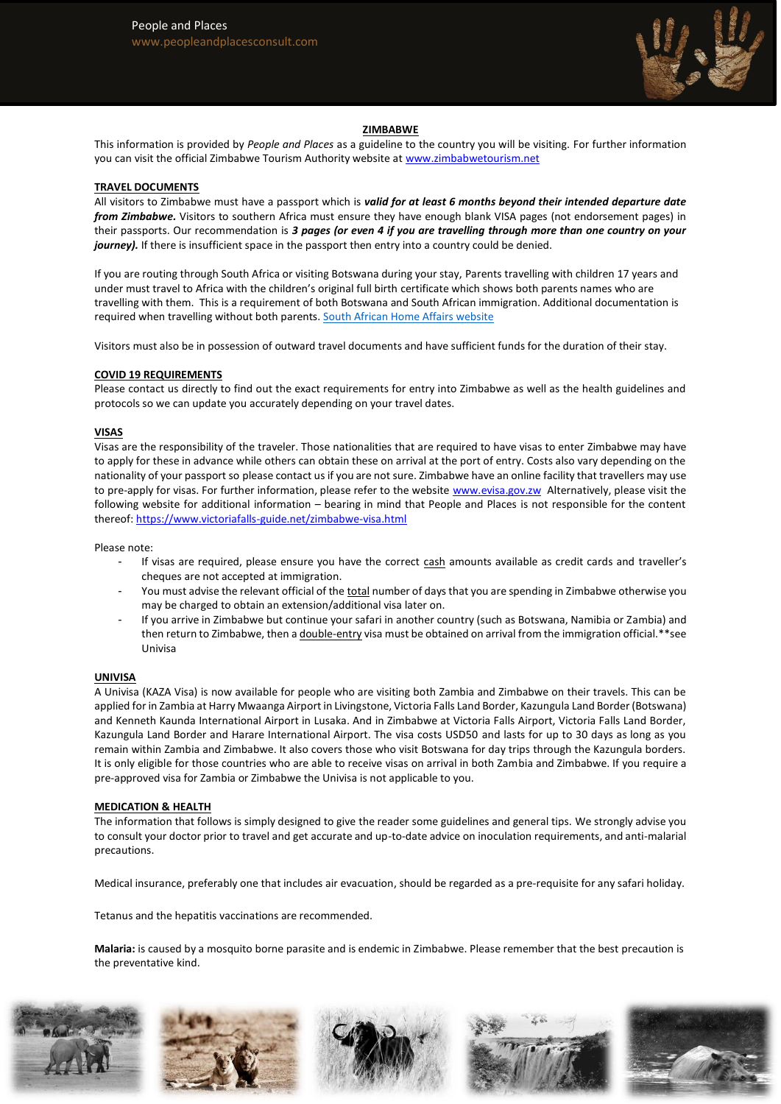

## **ZIMBABWE**

This information is provided by *People and Places* as a guideline to the country you will be visiting. For further information you can visit the official Zimbabwe Tourism Authority website at [www.zimbabwetourism.net](http://www.zimbabwetourism.net/)

### **TRAVEL DOCUMENTS**

All visitors to Zimbabwe must have a passport which is *valid for at least 6 months beyond their intended departure date from Zimbabwe.* Visitors to southern Africa must ensure they have enough blank VISA pages (not endorsement pages) in their passports. Our recommendation is *3 pages (or even 4 if you are travelling through more than one country on your journey).* If there is insufficient space in the passport then entry into a country could be denied.

If you are routing through South Africa or visiting Botswana during your stay, Parents travelling with children 17 years and under must travel to Africa with the children's original full birth certificate which shows both parents names who are travelling with them. This is a requirement of both Botswana and South African immigration. Additional documentation is required when travelling without both parents. [South African Home Affairs website](http://www.home-affairs.gov.za/index.php/civic-services/traveling-with-children)

Visitors must also be in possession of outward travel documents and have sufficient funds for the duration of their stay.

#### **COVID 19 REQUIREMENTS**

Please contact us directly to find out the exact requirements for entry into Zimbabwe as well as the health guidelines and protocols so we can update you accurately depending on your travel dates.

#### **VISAS**

Visas are the responsibility of the traveler. Those nationalities that are required to have visas to enter Zimbabwe may have to apply for these in advance while others can obtain these on arrival at the port of entry. Costs also vary depending on the nationality of your passport so please contact us if you are not sure. Zimbabwe have an online facility that travellers may use to pre-apply for visas. For further information, please refer to the website [www.evisa.gov.zw](http://www.evisa.gov.zw/) Alternatively, please visit the following website for additional information – bearing in mind that People and Places is not responsible for the content thereof:<https://www.victoriafalls-guide.net/zimbabwe-visa.html>

Please note:

- If visas are required, please ensure you have the correct cash amounts available as credit cards and traveller's cheques are not accepted at immigration.
- You must advise the relevant official of the total number of days that you are spending in Zimbabwe otherwise you may be charged to obtain an extension/additional visa later on.
- If you arrive in Zimbabwe but continue your safari in another country (such as Botswana, Namibia or Zambia) and then return to Zimbabwe, then a double-entry visa must be obtained on arrival from the immigration official.\*\*see Univisa

#### **UNIVISA**

A Univisa (KAZA Visa) is now available for people who are visiting both Zambia and Zimbabwe on their travels. This can be applied for in Zambia at Harry Mwaanga Airport in Livingstone, Victoria Falls Land Border, Kazungula Land Border (Botswana) and Kenneth Kaunda International Airport in Lusaka. And in Zimbabwe at Victoria Falls Airport, Victoria Falls Land Border, Kazungula Land Border and Harare International Airport. The visa costs USD50 and lasts for up to 30 days as long as you remain within Zambia and Zimbabwe. It also covers those who visit Botswana for day trips through the Kazungula borders. It is only eligible for those countries who are able to receive visas on arrival in both Zambia and Zimbabwe. If you require a pre-approved visa for Zambia or Zimbabwe the Univisa is not applicable to you.

#### **MEDICATION & HEALTH**

The information that follows is simply designed to give the reader some guidelines and general tips. We strongly advise you to consult your doctor prior to travel and get accurate and up-to-date advice on inoculation requirements, and anti-malarial precautions.

Medical insurance, preferably one that includes air evacuation, should be regarded as a pre-requisite for any safari holiday.

Tetanus and the hepatitis vaccinations are recommended.

**Malaria:** is caused by a mosquito borne parasite and is endemic in Zimbabwe. Please remember that the best precaution is the preventative kind.









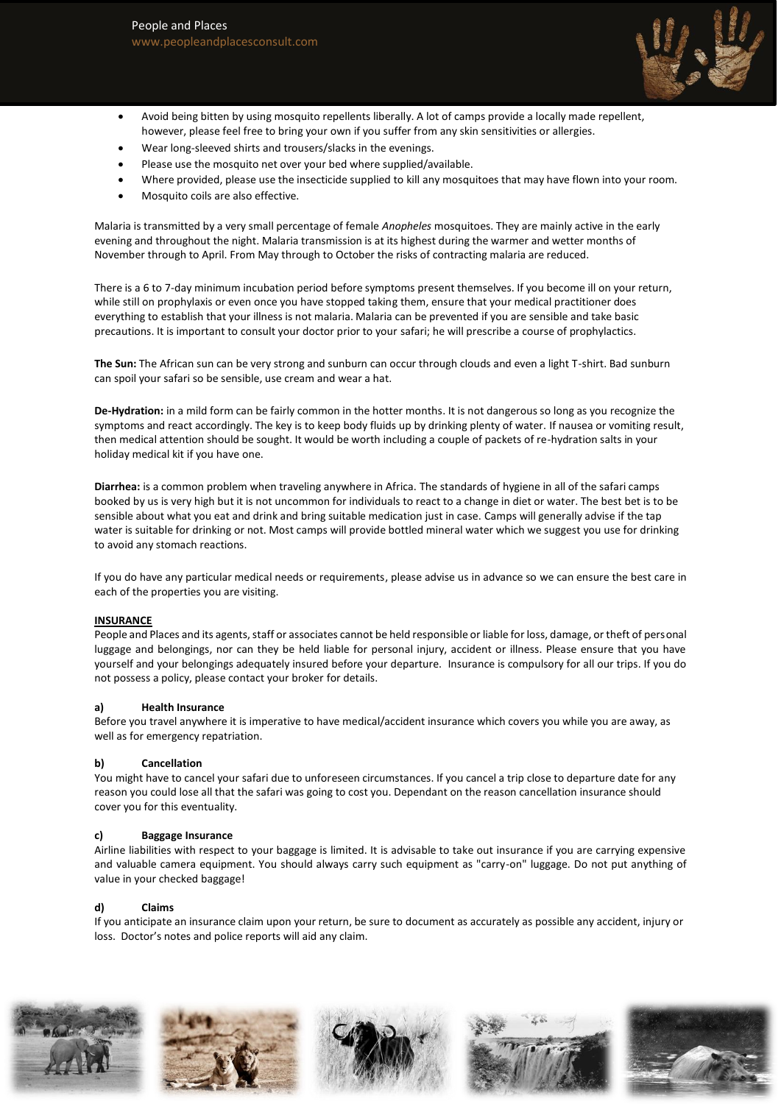

- Avoid being bitten by using mosquito repellents liberally. A lot of camps provide a locally made repellent, however, please feel free to bring your own if you suffer from any skin sensitivities or allergies.
- Wear long-sleeved shirts and trousers/slacks in the evenings.
- Please use the mosquito net over your bed where supplied/available.
- Where provided, please use the insecticide supplied to kill any mosquitoes that may have flown into your room.
- Mosquito coils are also effective.

Malaria is transmitted by a very small percentage of female *Anopheles* mosquitoes. They are mainly active in the early evening and throughout the night. Malaria transmission is at its highest during the warmer and wetter months of November through to April. From May through to October the risks of contracting malaria are reduced.

There is a 6 to 7-day minimum incubation period before symptoms present themselves. If you become ill on your return, while still on prophylaxis or even once you have stopped taking them, ensure that your medical practitioner does everything to establish that your illness is not malaria. Malaria can be prevented if you are sensible and take basic precautions. It is important to consult your doctor prior to your safari; he will prescribe a course of prophylactics.

**The Sun:** The African sun can be very strong and sunburn can occur through clouds and even a light T-shirt. Bad sunburn can spoil your safari so be sensible, use cream and wear a hat.

**De-Hydration:** in a mild form can be fairly common in the hotter months. It is not dangerous so long as you recognize the symptoms and react accordingly. The key is to keep body fluids up by drinking plenty of water. If nausea or vomiting result, then medical attention should be sought. It would be worth including a couple of packets of re-hydration salts in your holiday medical kit if you have one.

**Diarrhea:** is a common problem when traveling anywhere in Africa. The standards of hygiene in all of the safari camps booked by us is very high but it is not uncommon for individuals to react to a change in diet or water. The best bet is to be sensible about what you eat and drink and bring suitable medication just in case. Camps will generally advise if the tap water is suitable for drinking or not. Most camps will provide bottled mineral water which we suggest you use for drinking to avoid any stomach reactions.

If you do have any particular medical needs or requirements, please advise us in advance so we can ensure the best care in each of the properties you are visiting.

## **INSURANCE**

People and Places and its agents, staff or associates cannot be held responsible or liable for loss, damage, or theft of personal luggage and belongings, nor can they be held liable for personal injury, accident or illness. Please ensure that you have yourself and your belongings adequately insured before your departure. Insurance is compulsory for all our trips. If you do not possess a policy, please contact your broker for details.

### **a) Health Insurance**

Before you travel anywhere it is imperative to have medical/accident insurance which covers you while you are away, as well as for emergency repatriation.

### **b) Cancellation**

You might have to cancel your safari due to unforeseen circumstances. If you cancel a trip close to departure date for any reason you could lose all that the safari was going to cost you. Dependant on the reason cancellation insurance should cover you for this eventuality.

### **c) Baggage Insurance**

Airline liabilities with respect to your baggage is limited. It is advisable to take out insurance if you are carrying expensive and valuable camera equipment. You should always carry such equipment as "carry-on" luggage. Do not put anything of value in your checked baggage!

### **d) Claims**

If you anticipate an insurance claim upon your return, be sure to document as accurately as possible any accident, injury or loss. Doctor's notes and police reports will aid any claim.









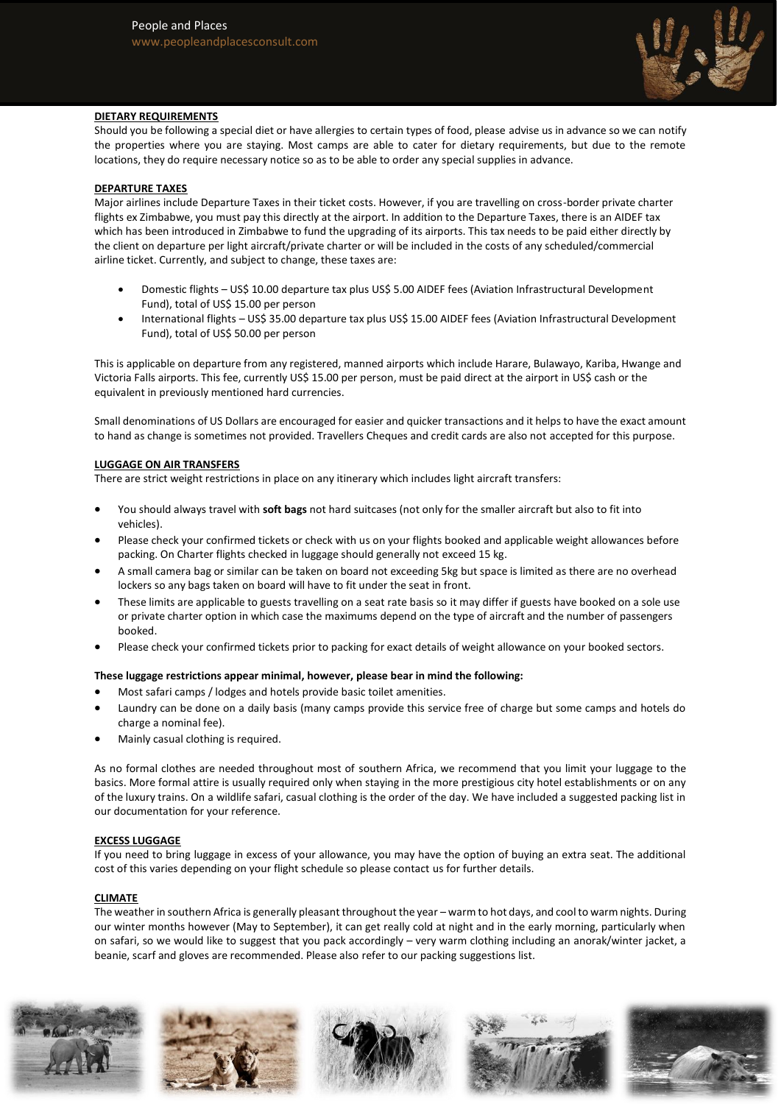

# **DIETARY REQUIREMENTS**

Should you be following a special diet or have allergies to certain types of food, please advise us in advance so we can notify the properties where you are staying. Most camps are able to cater for dietary requirements, but due to the remote locations, they do require necessary notice so as to be able to order any special supplies in advance.

# **DEPARTURE TAXES**

Major airlines include Departure Taxes in their ticket costs. However, if you are travelling on cross-border private charter flights ex Zimbabwe, you must pay this directly at the airport. In addition to the Departure Taxes, there is an AIDEF tax which has been introduced in Zimbabwe to fund the upgrading of its airports. This tax needs to be paid either directly by the client on departure per light aircraft/private charter or will be included in the costs of any scheduled/commercial airline ticket. Currently, and subject to change, these taxes are:

- Domestic flights US\$ 10.00 departure tax plus US\$ 5.00 AIDEF fees (Aviation Infrastructural Development Fund), total of US\$ 15.00 per person
- International flights US\$ 35.00 departure tax plus US\$ 15.00 AIDEF fees (Aviation Infrastructural Development Fund), total of US\$ 50.00 per person

This is applicable on departure from any registered, manned airports which include Harare, Bulawayo, Kariba, Hwange and Victoria Falls airports. This fee, currently US\$ 15.00 per person, must be paid direct at the airport in US\$ cash or the equivalent in previously mentioned hard currencies.

Small denominations of US Dollars are encouraged for easier and quicker transactions and it helps to have the exact amount to hand as change is sometimes not provided. Travellers Cheques and credit cards are also not accepted for this purpose.

## **LUGGAGE ON AIR TRANSFERS**

There are strict weight restrictions in place on any itinerary which includes light aircraft transfers:

- You should always travel with **soft bags** not hard suitcases (not only for the smaller aircraft but also to fit into vehicles).
- Please check your confirmed tickets or check with us on your flights booked and applicable weight allowances before packing. On Charter flights checked in luggage should generally not exceed 15 kg.
- A small camera bag or similar can be taken on board not exceeding 5kg but space is limited as there are no overhead lockers so any bags taken on board will have to fit under the seat in front.
- These limits are applicable to guests travelling on a seat rate basis so it may differ if guests have booked on a sole use or private charter option in which case the maximums depend on the type of aircraft and the number of passengers booked.
- Please check your confirmed tickets prior to packing for exact details of weight allowance on your booked sectors.

## **These luggage restrictions appear minimal, however, please bear in mind the following:**

- Most safari camps / lodges and hotels provide basic toilet amenities.
- Laundry can be done on a daily basis (many camps provide this service free of charge but some camps and hotels do charge a nominal fee).
- Mainly casual clothing is required.

As no formal clothes are needed throughout most of southern Africa, we recommend that you limit your luggage to the basics. More formal attire is usually required only when staying in the more prestigious city hotel establishments or on any of the luxury trains. On a wildlife safari, casual clothing is the order of the day. We have included a suggested packing list in our documentation for your reference.

## **EXCESS LUGGAGE**

If you need to bring luggage in excess of your allowance, you may have the option of buying an extra seat. The additional cost of this varies depending on your flight schedule so please contact us for further details.

## **CLIMATE**

The weather in southern Africa is generally pleasant throughout the year – warm to hot days, and cool to warm nights. During our winter months however (May to September), it can get really cold at night and in the early morning, particularly when on safari, so we would like to suggest that you pack accordingly – very warm clothing including an anorak/winter jacket, a beanie, scarf and gloves are recommended. Please also refer to our packing suggestions list.









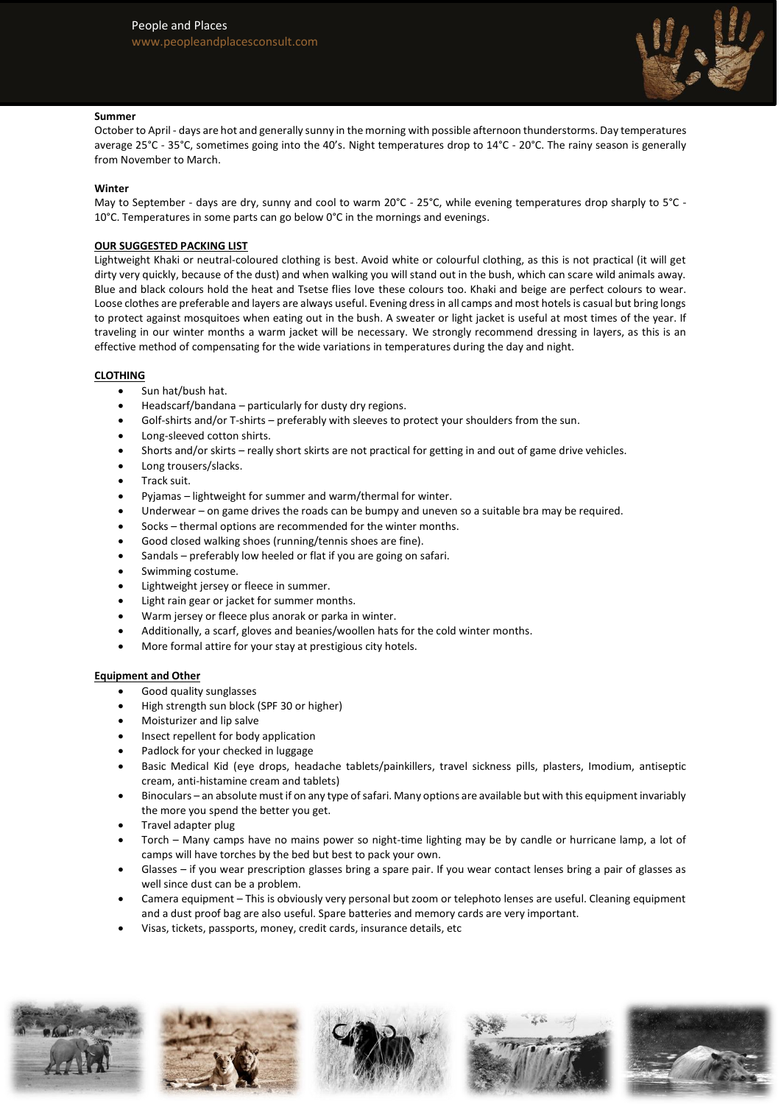

## **Summer**

October to April - days are hot and generally sunny in the morning with possible afternoon thunderstorms. Day temperatures average 25°C - 35°C, sometimes going into the 40's. Night temperatures drop to 14°C - 20°C. The rainy season is generally from November to March.

## **Winter**

May to September - days are dry, sunny and cool to warm 20°C - 25°C, while evening temperatures drop sharply to 5°C -10 $^{\circ}$ C. Temperatures in some parts can go below 0 $^{\circ}$ C in the mornings and evenings.

# **OUR SUGGESTED PACKING LIST**

Lightweight Khaki or neutral-coloured clothing is best. Avoid white or colourful clothing, as this is not practical (it will get dirty very quickly, because of the dust) and when walking you will stand out in the bush, which can scare wild animals away. Blue and black colours hold the heat and Tsetse flies love these colours too. Khaki and beige are perfect colours to wear. Loose clothes are preferable and layers are always useful. Evening dress in all camps and most hotels is casual but bring longs to protect against mosquitoes when eating out in the bush. A sweater or light jacket is useful at most times of the year. If traveling in our winter months a warm jacket will be necessary. We strongly recommend dressing in layers, as this is an effective method of compensating for the wide variations in temperatures during the day and night.

# **CLOTHING**

- Sun hat/bush hat.
- Headscarf/bandana particularly for dusty dry regions.
- Golf-shirts and/or T-shirts preferably with sleeves to protect your shoulders from the sun.
- Long-sleeved cotton shirts.
- Shorts and/or skirts really short skirts are not practical for getting in and out of game drive vehicles.
- Long trousers/slacks.
- Track suit.
- Pyjamas lightweight for summer and warm/thermal for winter.
- Underwear on game drives the roads can be bumpy and uneven so a suitable bra may be required.
- Socks thermal options are recommended for the winter months.
- Good closed walking shoes (running/tennis shoes are fine).
- Sandals preferably low heeled or flat if you are going on safari.
- Swimming costume.
- Lightweight jersey or fleece in summer.
- Light rain gear or jacket for summer months.
- Warm jersey or fleece plus anorak or parka in winter.
- Additionally, a scarf, gloves and beanies/woollen hats for the cold winter months.
- More formal attire for your stay at prestigious city hotels.

## **Equipment and Other**

- Good quality sunglasses
- High strength sun block (SPF 30 or higher)
- Moisturizer and lip salve
- Insect repellent for body application
- Padlock for your checked in luggage
- Basic Medical Kid (eye drops, headache tablets/painkillers, travel sickness pills, plasters, Imodium, antiseptic cream, anti-histamine cream and tablets)
- Binoculars an absolute must if on any type of safari. Many options are available but with this equipment invariably the more you spend the better you get.
- Travel adapter plug
- Torch Many camps have no mains power so night-time lighting may be by candle or hurricane lamp, a lot of camps will have torches by the bed but best to pack your own.
- Glasses if you wear prescription glasses bring a spare pair. If you wear contact lenses bring a pair of glasses as well since dust can be a problem.
- Camera equipment This is obviously very personal but zoom or telephoto lenses are useful. Cleaning equipment and a dust proof bag are also useful. Spare batteries and memory cards are very important.
- Visas, tickets, passports, money, credit cards, insurance details, etc









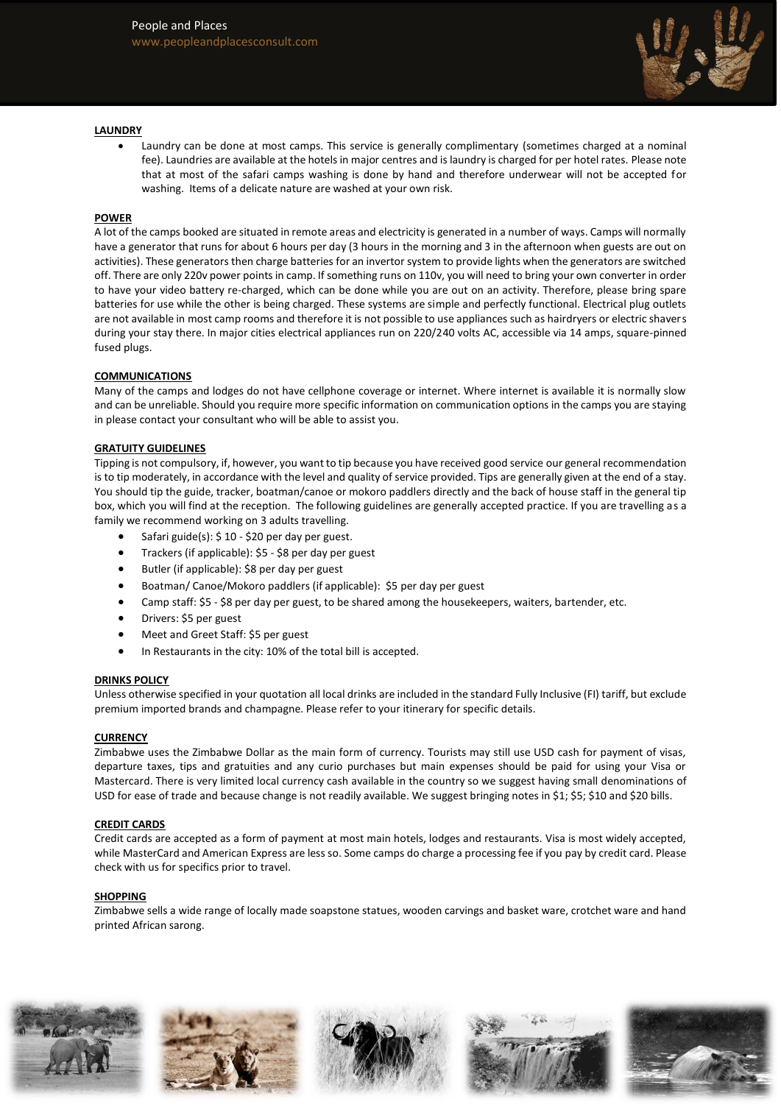

## **LAUNDRY**

• Laundry can be done at most camps. This service is generally complimentary (sometimes charged at a nominal fee). Laundries are available at the hotels in major centres and is laundry is charged for per hotel rates. Please note that at most of the safari camps washing is done by hand and therefore underwear will not be accepted for washing. Items of a delicate nature are washed at your own risk.

### **POWER**

A lot of the camps booked are situated in remote areas and electricity is generated in a number of ways. Camps will normally have a generator that runs for about 6 hours per day (3 hours in the morning and 3 in the afternoon when guests are out on activities). These generators then charge batteries for an invertor system to provide lights when the generators are switched off. There are only 220v power points in camp. If something runs on 110v, you will need to bring your own converter in order to have your video battery re-charged, which can be done while you are out on an activity. Therefore, please bring spare batteries for use while the other is being charged. These systems are simple and perfectly functional. Electrical plug outlets are not available in most camp rooms and therefore it is not possible to use appliances such as hairdryers or electric shavers during your stay there. In major cities electrical appliances run on 220/240 volts AC, accessible via 14 amps, square-pinned fused plugs.

## **COMMUNICATIONS**

Many of the camps and lodges do not have cellphone coverage or internet. Where internet is available it is normally slow and can be unreliable. Should you require more specific information on communication options in the camps you are staying in please contact your consultant who will be able to assist you.

## **GRATUITY GUIDELINES**

Tipping is not compulsory, if, however, you want to tip because you have received good service our general recommendation is to tip moderately, in accordance with the level and quality of service provided. Tips are generally given at the end of a stay. You should tip the guide, tracker, boatman/canoe or mokoro paddlers directly and the back of house staff in the general tip box, which you will find at the reception. The following guidelines are generally accepted practice. If you are travelling as a family we recommend working on 3 adults travelling.

- Safari guide(s): \$ 10 \$20 per day per guest.
- Trackers (if applicable): \$5 \$8 per day per guest
- Butler (if applicable): \$8 per day per guest
- Boatman/ Canoe/Mokoro paddlers (if applicable): \$5 per day per guest
- Camp staff: \$5 \$8 per day per guest, to be shared among the housekeepers, waiters, bartender, etc.
- Drivers: \$5 per guest
- Meet and Greet Staff: \$5 per guest
- In Restaurants in the city: 10% of the total bill is accepted.

### **DRINKS POLICY**

Unless otherwise specified in your quotation all local drinks are included in the standard Fully Inclusive (FI) tariff, but exclude premium imported brands and champagne. Please refer to your itinerary for specific details.

### **CURRENCY**

Zimbabwe uses the Zimbabwe Dollar as the main form of currency. Tourists may still use USD cash for payment of visas, departure taxes, tips and gratuities and any curio purchases but main expenses should be paid for using your Visa or Mastercard. There is very limited local currency cash available in the country so we suggest having small denominations of USD for ease of trade and because change is not readily available. We suggest bringing notes in \$1; \$5; \$10 and \$20 bills.

### **CREDIT CARDS**

Credit cards are accepted as a form of payment at most main hotels, lodges and restaurants. Visa is most widely accepted, while MasterCard and American Express are less so. Some camps do charge a processing fee if you pay by credit card. Please check with us for specifics prior to travel.

### **SHOPPING**

Zimbabwe sells a wide range of locally made soapstone statues, wooden carvings and basket ware, crotchet ware and hand printed African sarong.